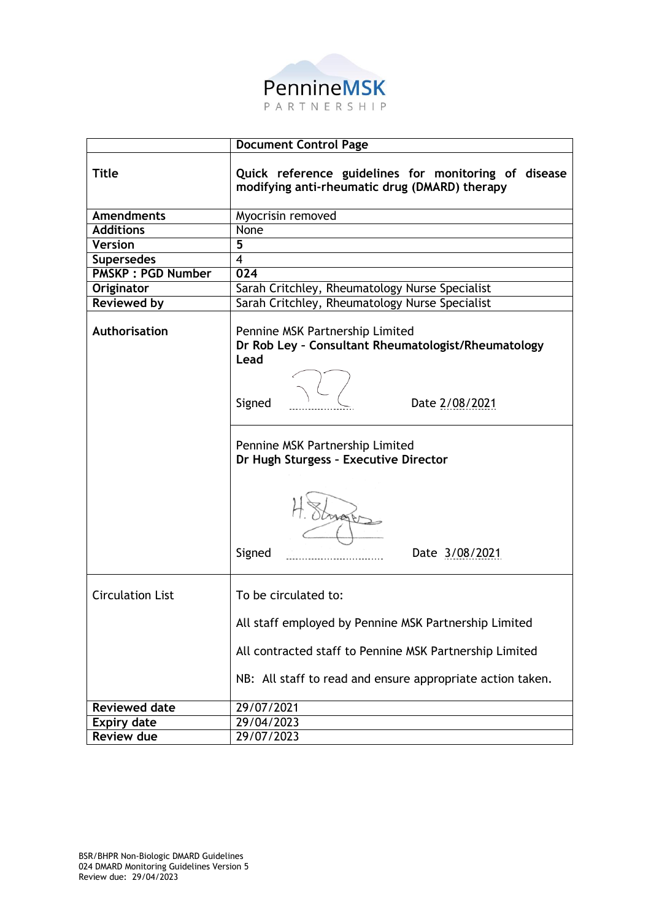

|                          | <b>Document Control Page</b>                                                                          |  |  |  |  |  |  |  |  |  |
|--------------------------|-------------------------------------------------------------------------------------------------------|--|--|--|--|--|--|--|--|--|
| <b>Title</b>             | Quick reference guidelines for monitoring of disease<br>modifying anti-rheumatic drug (DMARD) therapy |  |  |  |  |  |  |  |  |  |
| <b>Amendments</b>        | Myocrisin removed                                                                                     |  |  |  |  |  |  |  |  |  |
| <b>Additions</b>         | None                                                                                                  |  |  |  |  |  |  |  |  |  |
| <b>Version</b>           | $\overline{5}$                                                                                        |  |  |  |  |  |  |  |  |  |
| <b>Supersedes</b>        | $\overline{4}$                                                                                        |  |  |  |  |  |  |  |  |  |
| <b>PMSKP: PGD Number</b> | 024                                                                                                   |  |  |  |  |  |  |  |  |  |
| Originator               | Sarah Critchley, Rheumatology Nurse Specialist                                                        |  |  |  |  |  |  |  |  |  |
| <b>Reviewed by</b>       | Sarah Critchley, Rheumatology Nurse Specialist                                                        |  |  |  |  |  |  |  |  |  |
| Authorisation            | Pennine MSK Partnership Limited<br>Dr Rob Ley - Consultant Rheumatologist/Rheumatology<br>Lead        |  |  |  |  |  |  |  |  |  |
|                          | Signed<br>Date 2/08/2021                                                                              |  |  |  |  |  |  |  |  |  |
|                          | Pennine MSK Partnership Limited<br>Dr Hugh Sturgess - Executive Director                              |  |  |  |  |  |  |  |  |  |
|                          | Signed<br>Date 3/08/2021                                                                              |  |  |  |  |  |  |  |  |  |
| <b>Circulation List</b>  | To be circulated to:                                                                                  |  |  |  |  |  |  |  |  |  |
|                          | All staff employed by Pennine MSK Partnership Limited                                                 |  |  |  |  |  |  |  |  |  |
|                          | All contracted staff to Pennine MSK Partnership Limited                                               |  |  |  |  |  |  |  |  |  |
|                          | NB: All staff to read and ensure appropriate action taken.                                            |  |  |  |  |  |  |  |  |  |
| <b>Reviewed date</b>     | 29/07/2021                                                                                            |  |  |  |  |  |  |  |  |  |
| <b>Expiry date</b>       | 29/04/2023                                                                                            |  |  |  |  |  |  |  |  |  |
| <b>Review due</b>        | 29/07/2023                                                                                            |  |  |  |  |  |  |  |  |  |
|                          |                                                                                                       |  |  |  |  |  |  |  |  |  |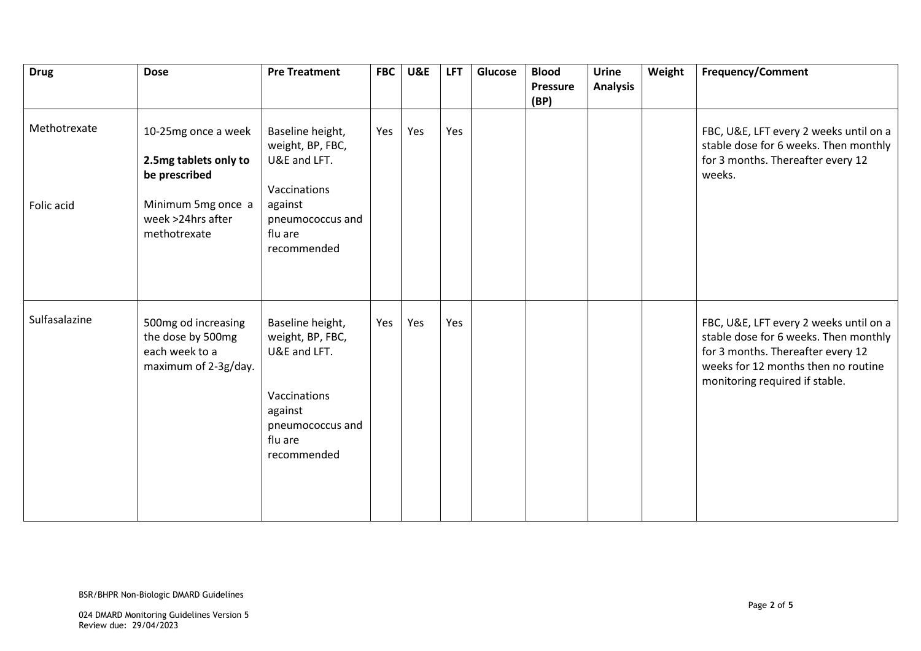| <b>Drug</b>   | <b>Dose</b>                                                                        | <b>Pre Treatment</b>                                                                                                          | <b>FBC</b> | <b>U&amp;E</b> | <b>LFT</b> | Glucose | <b>Blood</b><br><b>Pressure</b><br>(BP) | Urine<br><b>Analysis</b> | Weight | <b>Frequency/Comment</b>                                                                                                                                                                      |
|---------------|------------------------------------------------------------------------------------|-------------------------------------------------------------------------------------------------------------------------------|------------|----------------|------------|---------|-----------------------------------------|--------------------------|--------|-----------------------------------------------------------------------------------------------------------------------------------------------------------------------------------------------|
| Methotrexate  | 10-25mg once a week<br>2.5mg tablets only to<br>be prescribed                      | Baseline height,<br>weight, BP, FBC,<br>U&E and LFT.<br>Vaccinations                                                          | Yes        | Yes            | Yes        |         |                                         |                          |        | FBC, U&E, LFT every 2 weeks until on a<br>stable dose for 6 weeks. Then monthly<br>for 3 months. Thereafter every 12<br>weeks.                                                                |
| Folic acid    | Minimum 5mg once a<br>week >24hrs after<br>methotrexate                            | against<br>pneumococcus and<br>flu are<br>recommended                                                                         |            |                |            |         |                                         |                          |        |                                                                                                                                                                                               |
| Sulfasalazine | 500mg od increasing<br>the dose by 500mg<br>each week to a<br>maximum of 2-3g/day. | Baseline height,<br>weight, BP, FBC,<br>U&E and LFT.<br>Vaccinations<br>against<br>pneumococcus and<br>flu are<br>recommended | Yes        | Yes            | Yes        |         |                                         |                          |        | FBC, U&E, LFT every 2 weeks until on a<br>stable dose for 6 weeks. Then monthly<br>for 3 months. Thereafter every 12<br>weeks for 12 months then no routine<br>monitoring required if stable. |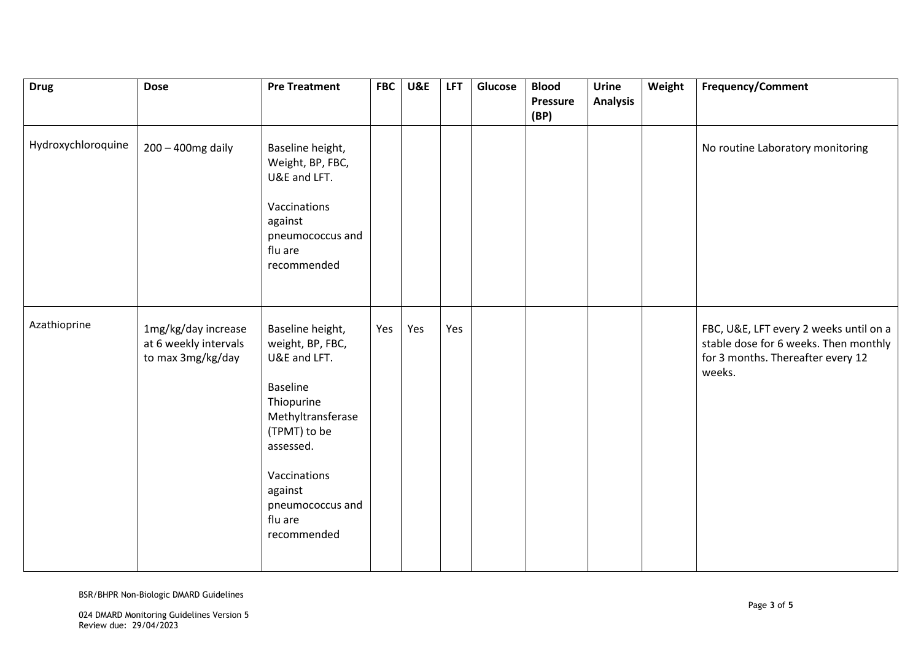| <b>Drug</b>        | <b>Dose</b>                                                       | <b>Pre Treatment</b>                                                                                                                                                                                             | <b>FBC</b> | <b>U&amp;E</b> | <b>LFT</b> | Glucose | <b>Blood</b><br><b>Pressure</b> | Urine<br><b>Analysis</b> | Weight | <b>Frequency/Comment</b>                                                                                                       |
|--------------------|-------------------------------------------------------------------|------------------------------------------------------------------------------------------------------------------------------------------------------------------------------------------------------------------|------------|----------------|------------|---------|---------------------------------|--------------------------|--------|--------------------------------------------------------------------------------------------------------------------------------|
|                    |                                                                   |                                                                                                                                                                                                                  |            |                |            |         | (BP)                            |                          |        |                                                                                                                                |
| Hydroxychloroquine | 200 - 400mg daily                                                 | Baseline height,<br>Weight, BP, FBC,<br>U&E and LFT.                                                                                                                                                             |            |                |            |         |                                 |                          |        | No routine Laboratory monitoring                                                                                               |
|                    |                                                                   | Vaccinations<br>against<br>pneumococcus and<br>flu are<br>recommended                                                                                                                                            |            |                |            |         |                                 |                          |        |                                                                                                                                |
| Azathioprine       | 1mg/kg/day increase<br>at 6 weekly intervals<br>to max 3mg/kg/day | Baseline height,<br>weight, BP, FBC,<br>U&E and LFT.<br><b>Baseline</b><br>Thiopurine<br>Methyltransferase<br>(TPMT) to be<br>assessed.<br>Vaccinations<br>against<br>pneumococcus and<br>flu are<br>recommended | Yes        | Yes            | Yes        |         |                                 |                          |        | FBC, U&E, LFT every 2 weeks until on a<br>stable dose for 6 weeks. Then monthly<br>for 3 months. Thereafter every 12<br>weeks. |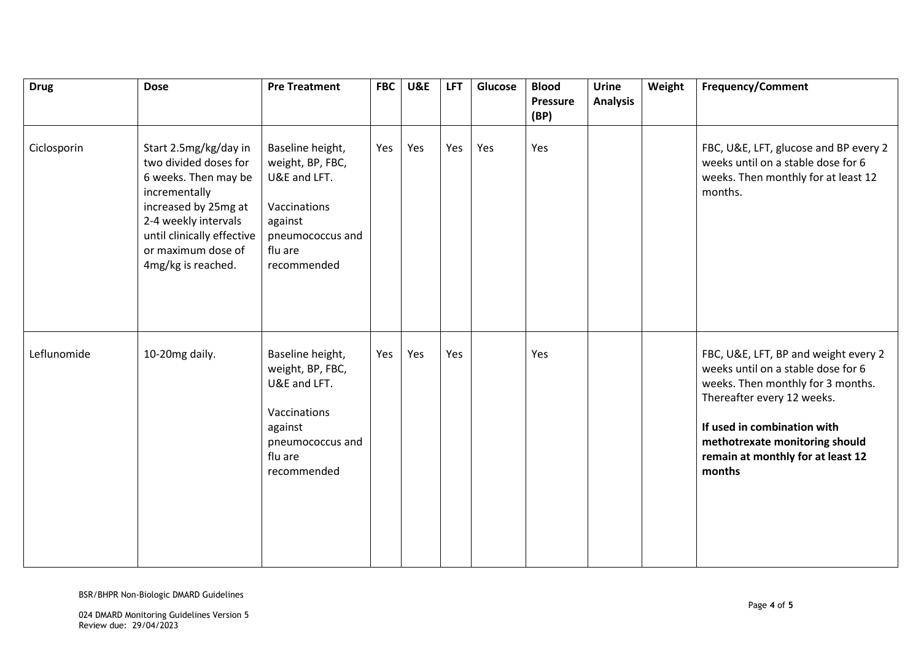| <b>Drug</b> | <b>Dose</b>                                                                                                                                                                                                       | <b>Pre Treatment</b>                                                                                                          | <b>FBC</b> | <b>U&amp;E</b> | <b>LFT</b> | Glucose | <b>Blood</b><br><b>Pressure</b><br>(BP) | <b>Urine</b><br><b>Analysis</b> | Weight | <b>Frequency/Comment</b>                                                                                                                                                                                                                                      |
|-------------|-------------------------------------------------------------------------------------------------------------------------------------------------------------------------------------------------------------------|-------------------------------------------------------------------------------------------------------------------------------|------------|----------------|------------|---------|-----------------------------------------|---------------------------------|--------|---------------------------------------------------------------------------------------------------------------------------------------------------------------------------------------------------------------------------------------------------------------|
| Ciclosporin | Start 2.5mg/kg/day in<br>two divided doses for<br>6 weeks. Then may be<br>incrementally<br>increased by 25mg at<br>2-4 weekly intervals<br>until clinically effective<br>or maximum dose of<br>4mg/kg is reached. | Baseline height,<br>weight, BP, FBC,<br>U&E and LFT.<br>Vaccinations<br>against<br>pneumococcus and<br>flu are<br>recommended | Yes        | Yes            | Yes        | Yes     | Yes                                     |                                 |        | FBC, U&E, LFT, glucose and BP every 2<br>weeks until on a stable dose for 6<br>weeks. Then monthly for at least 12<br>months.                                                                                                                                 |
| Leflunomide | 10-20mg daily.                                                                                                                                                                                                    | Baseline height,<br>weight, BP, FBC,<br>U&E and LFT.<br>Vaccinations<br>against<br>pneumococcus and<br>flu are<br>recommended | Yes        | Yes            | Yes        |         | Yes                                     |                                 |        | FBC, U&E, LFT, BP and weight every 2<br>weeks until on a stable dose for 6<br>weeks. Then monthly for 3 months.<br>Thereafter every 12 weeks.<br>If used in combination with<br>methotrexate monitoring should<br>remain at monthly for at least 12<br>months |